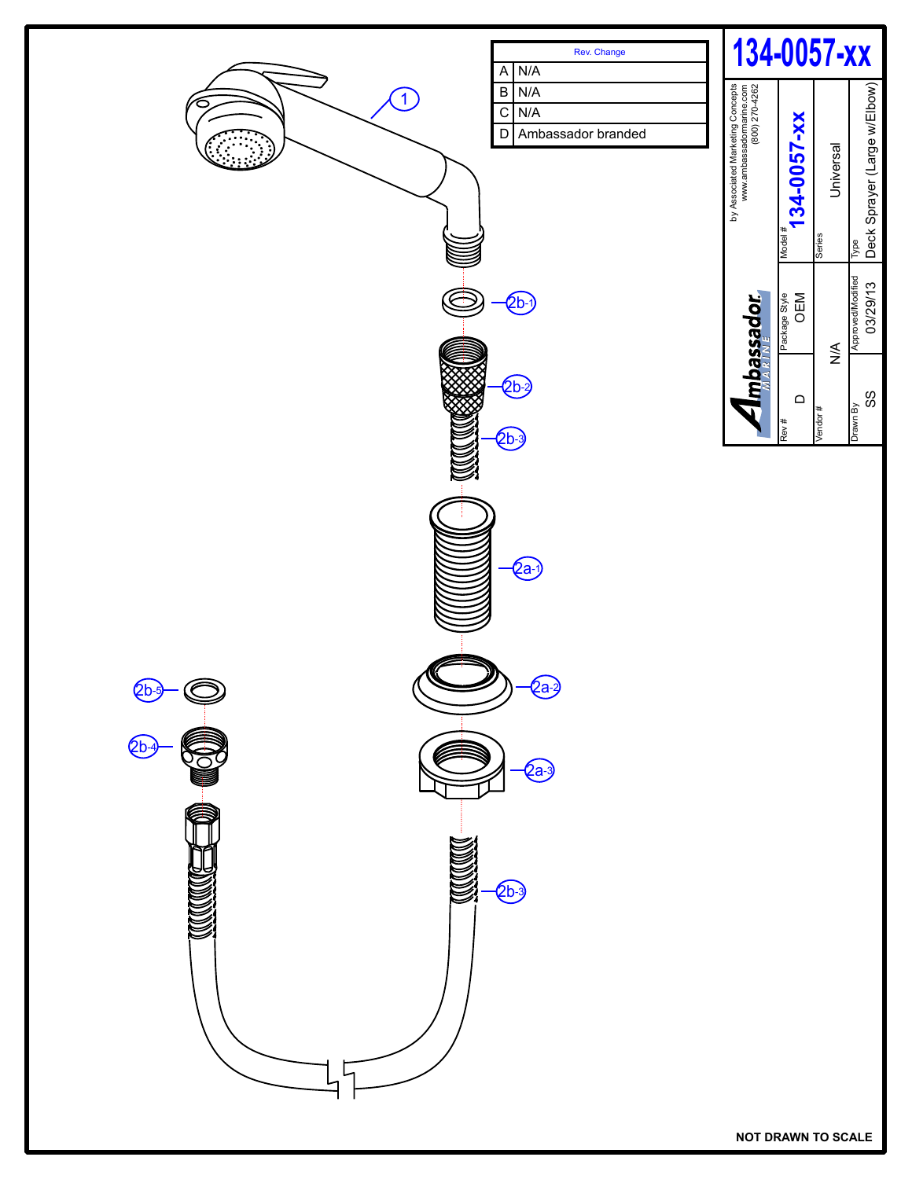